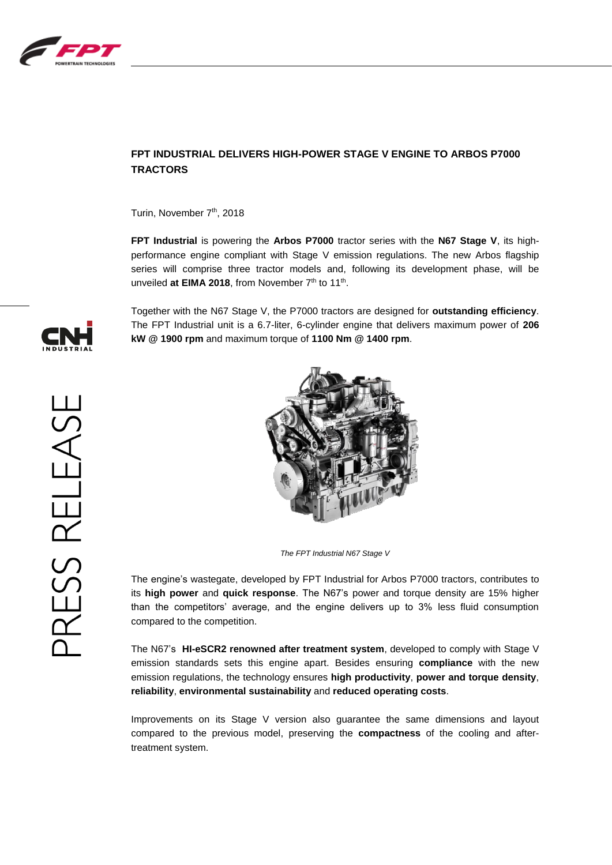

## **FPT INDUSTRIAL DELIVERS HIGH-POWER STAGE V ENGINE TO ARBOS P7000 TRACTORS**

Turin, November 7<sup>th</sup>, 2018

**FPT Industrial** is powering the **Arbos P7000** tractor series with the **N67 Stage V**, its highperformance engine compliant with Stage V emission regulations. The new Arbos flagship series will comprise three tractor models and, following its development phase, will be unveiled at EIMA 2018, from November 7<sup>th</sup> to 11<sup>th</sup>.

Together with the N67 Stage V, the P7000 tractors are designed for **outstanding efficiency**. The FPT Industrial unit is a 6.7-liter, 6-cylinder engine that delivers maximum power of **206 kW @ 1900 rpm** and maximum torque of **1100 Nm @ 1400 rpm**.



*The FPT Industrial N67 Stage V*

The engine's wastegate, developed by FPT Industrial for Arbos P7000 tractors, contributes to its **high power** and **quick response**. The N67's power and torque density are 15% higher than the competitors' average, and the engine delivers up to 3% less fluid consumption compared to the competition.

The N67's **HI-eSCR2 renowned after treatment system**, developed to comply with Stage V emission standards sets this engine apart. Besides ensuring **compliance** with the new emission regulations, the technology ensures **high productivity**, **power and torque density**, **reliability**, **environmental sustainability** and **reduced operating costs**.

Improvements on its Stage V version also guarantee the same dimensions and layout compared to the previous model, preserving the **compactness** of the cooling and aftertreatment system.